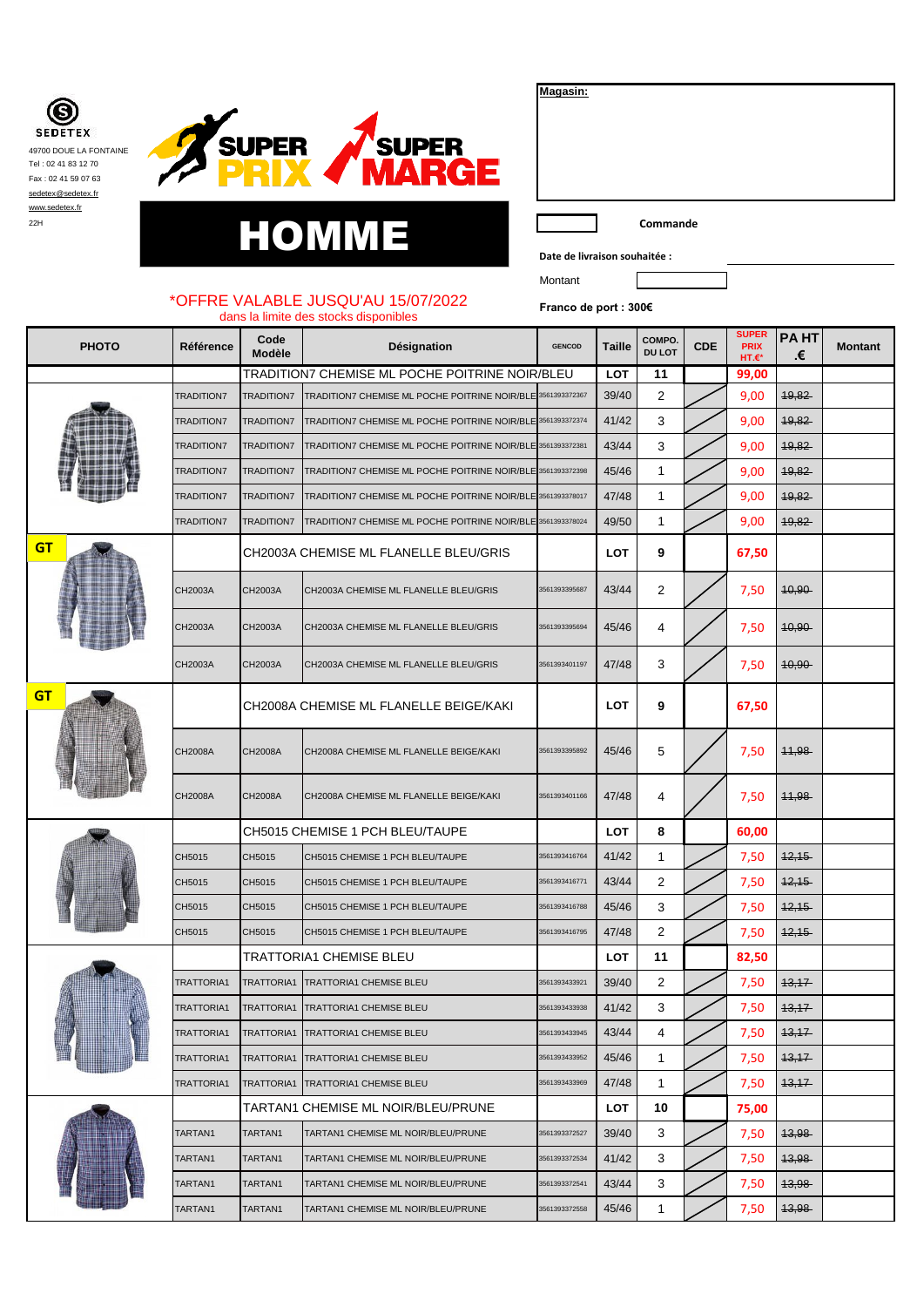Œ **SEDETEX** 49700 DOUE LA FONTAINE Tel : 02 41 83 12 70 Fax : 02 41 59 07 63 [sedetex@sedetex.fr](mailto:sedetex@sedetex.fr) [www.sedetex.fr](http://www.sedetex.fr/)



| 22H |   |      |  | `ommande                      |
|-----|---|------|--|-------------------------------|
|     | H | HOMM |  |                               |
|     |   |      |  | Date de livraison souhaitée : |

| Magasin: |
|----------|
|----------|

**Date de livraison souhaitée :**

Montant

## \*OFFRE VALABLE JUSQU'AU 15/07/2022 dans la limite des stocks disponibles

**Franco de port : 300€**

| <b>PHOTO</b> | Référence         | Code<br><b>Modèle</b> | Désignation                                    | <b>GENCOD</b> | Taille     | <b>COMPO</b><br><b>DU LOT</b> | <b>CDE</b> | <b>SUPER</b><br><b>PRIX</b><br>HT.€* | <b>PAHT</b><br>.€ | <b>Montant</b> |
|--------------|-------------------|-----------------------|------------------------------------------------|---------------|------------|-------------------------------|------------|--------------------------------------|-------------------|----------------|
|              |                   |                       | TRADITION7 CHEMISE ML POCHE POITRINE NOIR/BLEU |               | <b>LOT</b> | 11                            |            | 99,00                                |                   |                |
|              | <b>TRADITION7</b> | <b>TRADITION7</b>     | TRADITION7 CHEMISE ML POCHE POITRINE NOIR/BLE  | 3561393372367 | 39/40      | 2                             |            | 9,00                                 | 49,82             |                |
|              | <b>TRADITION7</b> | <b>TRADITION7</b>     | TRADITION7 CHEMISE ML POCHE POITRINE NOIR/BLE  | 3561393372374 | 41/42      | 3                             |            | 9,00                                 | 49,82             |                |
|              | <b>TRADITION7</b> | <b>TRADITION7</b>     | TRADITION7 CHEMISE ML POCHE POITRINE NOIR/BLE  | 3561393372381 | 43/44      | 3                             |            | 9,00                                 | 49,82             |                |
|              | <b>TRADITION7</b> | <b>TRADITION7</b>     | TRADITION7 CHEMISE ML POCHE POITRINE NOIR/BLE  | 3561393372398 | 45/46      | 1                             |            | 9,00                                 | 19,82             |                |
|              | <b>TRADITION7</b> | <b>TRADITION7</b>     | TRADITION7 CHEMISE ML POCHE POITRINE NOIR/BLE  | 3561393378017 | 47/48      | 1                             |            | 9,00                                 | 19,82             |                |
|              | <b>TRADITION7</b> | <b>TRADITION7</b>     | TRADITION7 CHEMISE ML POCHE POITRINE NOIR/BLE  | 3561393378024 | 49/50      | 1                             |            | 9,00                                 | 19,82             |                |
| <b>GT</b>    |                   |                       | CH2003A CHEMISE ML FLANELLE BLEU/GRIS          |               | LOT        | 9                             |            | 67,50                                |                   |                |
|              | CH2003A           | CH2003A               | CH2003A CHEMISE ML FLANELLE BLEU/GRIS          | 561393395687  | 43/44      | 2                             |            | 7,50                                 | $40,90 -$         |                |
|              | CH2003A           | CH2003A               | CH2003A CHEMISE ML FLANELLE BLEU/GRIS          | 561393395694  | 45/46      | 4                             |            | 7,50                                 | $40,90 -$         |                |
|              | CH2003A           | CH2003A               | CH2003A CHEMISE ML FLANELLE BLEU/GRIS          | 561393401197  | 47/48      | 3                             |            | 7,50                                 | $40,90 -$         |                |
| <b>GT</b>    |                   |                       | CH2008A CHEMISE ML FLANELLE BEIGE/KAKI         |               | LOT        | 9                             |            | 67,50                                |                   |                |
|              | <b>CH2008A</b>    | <b>CH2008A</b>        | CH2008A CHEMISE ML FLANELLE BEIGE/KAKI         | 3561393395892 | 45/46      | 5                             |            | 7,50                                 | 11,98             |                |
|              | <b>CH2008A</b>    | CH2008A               | CH2008A CHEMISE ML FLANELLE BEIGE/KAKI         | 3561393401166 | 47/48      | 4                             |            | 7,50                                 | 11,98             |                |
|              |                   |                       | CH5015 CHEMISE 1 PCH BLEU/TAUPE                |               | <b>LOT</b> | 8                             |            | 60,00                                |                   |                |
|              | CH5015            | CH5015                | CH5015 CHEMISE 1 PCH BLEU/TAUPE                | 3561393416764 | 41/42      | 1                             |            | 7,50                                 | 12,15             |                |
|              | CH5015            | CH5015                | CH5015 CHEMISE 1 PCH BLEU/TAUPE                | 561393416771  | 43/44      | 2                             |            | 7,50                                 | 12,15             |                |
|              | CH5015            | CH5015                | CH5015 CHEMISE 1 PCH BLEU/TAUPE                | 3561393416788 | 45/46      | 3                             |            | 7,50                                 | 12,15             |                |
|              | CH5015            | CH5015                | CH5015 CHEMISE 1 PCH BLEU/TAUPE                | 3561393416795 | 47/48      | 2                             |            | 7,50                                 | 12,15             |                |
|              |                   |                       | <b>TRATTORIA1 CHEMISE BLEU</b>                 |               | LOT        | 11                            |            | 82,50                                |                   |                |
|              | <b>TRATTORIA1</b> | TRATTORIA1            | <b>TRATTORIA1 CHEMISE BLEU</b>                 | 3561393433921 | 39/40      | 2                             |            | 7,50                                 | 13,17             |                |
|              | TRATTORIA1        | <b>TRATTORIA1</b>     | <b>TRATTORIA1 CHEMISE BLEU</b>                 | 3561393433938 | 41/42      | 3                             |            | 7,50                                 | 13,17             |                |
|              | TRATTORIA1        | TRATTORIA1            | <b>TRATTORIA1 CHEMISE BLEU</b>                 | 3561393433945 | 43/44      | 4                             |            | 7,50                                 | 13,17             |                |
|              | TRATTORIA1        | TRATTORIA1            | <b>TRATTORIA1 CHEMISE BLEU</b>                 | 3561393433952 | 45/46      | 1                             |            | 7,50                                 | 13,17             |                |
|              | TRATTORIA1        | TRATTORIA1            | <b>TRATTORIA1 CHEMISE BLEU</b>                 | 3561393433969 | 47/48      | 1                             |            | 7,50                                 | 13,17             |                |
|              |                   |                       | TARTAN1 CHEMISE ML NOIR/BLEU/PRUNE             |               | LOT        | 10                            |            | 75,00                                |                   |                |
|              | TARTAN1           | TARTAN1               | TARTAN1 CHEMISE ML NOIR/BLEU/PRUNE             | 3561393372527 | 39/40      | 3                             |            | 7,50                                 | 13,98             |                |
|              | TARTAN1           | TARTAN1               | TARTAN1 CHEMISE ML NOIR/BLEU/PRUNE             | 3561393372534 | 41/42      | 3                             |            | 7,50                                 | <del>13,98</del>  |                |
|              | TARTAN1           | TARTAN1               | TARTAN1 CHEMISE ML NOIR/BLEU/PRUNE             | 3561393372541 | 43/44      | 3                             |            | 7,50                                 | 13,98             |                |
|              | TARTAN1           | TARTAN1               | TARTAN1 CHEMISE ML NOIR/BLEU/PRUNE             | 3561393372558 | 45/46      | 1                             |            | 7,50                                 | 13,98             |                |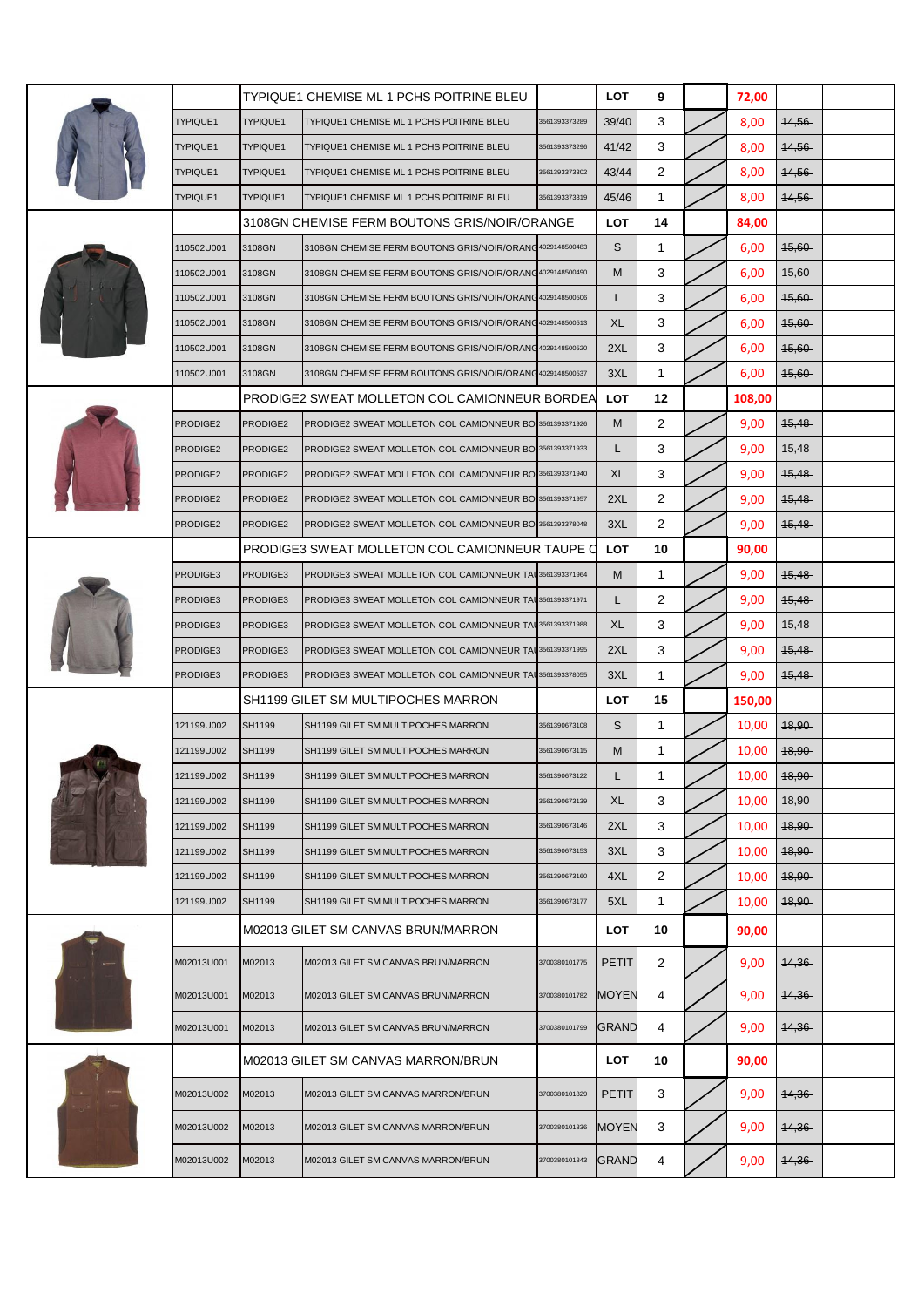|  |            |          | <b>TYPIQUE1 CHEMISE ML 1 PCHS POITRINE BLEU</b>           |               | <b>LOT</b>   | 9              |                                                                                                                                                                                                                                                                                             | 72,00  |                  |  |
|--|------------|----------|-----------------------------------------------------------|---------------|--------------|----------------|---------------------------------------------------------------------------------------------------------------------------------------------------------------------------------------------------------------------------------------------------------------------------------------------|--------|------------------|--|
|  | TYPIQUE1   | TYPIQUE1 | TYPIQUE1 CHEMISE ML 1 PCHS POITRINE BLEU                  | 3561393373289 | 39/40        | 3              |                                                                                                                                                                                                                                                                                             | 8,00   | 44,56            |  |
|  | TYPIQUE1   | TYPIQUE1 | TYPIQUE1 CHEMISE ML 1 PCHS POITRINE BLEU                  | 3561393373296 | 41/42        | 3              |                                                                                                                                                                                                                                                                                             | 8,00   | <b>14,56</b>     |  |
|  | TYPIQUE1   | TYPIQUE1 | TYPIQUE1 CHEMISE ML 1 PCHS POITRINE BLEU                  | 3561393373302 | 43/44        | $\overline{2}$ |                                                                                                                                                                                                                                                                                             | 8,00   | 14,56            |  |
|  | TYPIQUE1   | TYPIQUE1 | TYPIQUE1 CHEMISE ML 1 PCHS POITRINE BLEU                  | 3561393373319 | 45/46        | 1              |                                                                                                                                                                                                                                                                                             | 8,00   | 14,56            |  |
|  |            |          | 3108GN CHEMISE FERM BOUTONS GRIS/NOIR/ORANGE              |               | LOT          | 14             |                                                                                                                                                                                                                                                                                             | 84,00  |                  |  |
|  | 110502U001 | 3108GN   | 3108GN CHEMISE FERM BOUTONS GRIS/NOIR/ORANG4029148500483  |               | S            | 1              |                                                                                                                                                                                                                                                                                             | 6,00   | $45.60 -$        |  |
|  | 110502U001 | 3108GN   | 3108GN CHEMISE FERM BOUTONS GRIS/NOIR/ORANG4029148500490  |               | M            | 3              |                                                                                                                                                                                                                                                                                             | 6,00   | 45,60            |  |
|  | 110502U001 | 3108GN   | 3108GN CHEMISE FERM BOUTONS GRIS/NOIR/ORANG 4029148500506 |               | L            | 3              |                                                                                                                                                                                                                                                                                             | 6,00   | $45,60 -$        |  |
|  | 110502U001 | 3108GN   | 3108GN CHEMISE FERM BOUTONS GRIS/NOIR/ORANG4029148500513  |               | <b>XL</b>    | 3              |                                                                                                                                                                                                                                                                                             | 6,00   | $45,60 -$        |  |
|  | 110502U001 | 3108GN   | 3108GN CHEMISE FERM BOUTONS GRIS/NOIR/ORANG4029148500520  |               | 2XL          | 3              |                                                                                                                                                                                                                                                                                             | 6,00   | 15,60            |  |
|  | 110502U001 | 3108GN   | 3108GN CHEMISE FERM BOUTONS GRIS/NOIR/ORANG4029148500537  |               | 3XL          | 1              |                                                                                                                                                                                                                                                                                             | 6,00   | $45,60 -$        |  |
|  |            |          | PRODIGE2 SWEAT MOLLETON COL CAMIONNEUR BORDEA             |               | <b>LOT</b>   | 12             |                                                                                                                                                                                                                                                                                             | 108,00 |                  |  |
|  | PRODIGE2   | PRODIGE2 | PRODIGE2 SWEAT MOLLETON COL CAMIONNEUR BO 3561393371926   |               | M            | $\overline{2}$ |                                                                                                                                                                                                                                                                                             | 9,00   | 45,48            |  |
|  | PRODIGE2   | PRODIGE2 | PRODIGE2 SWEAT MOLLETON COL CAMIONNEUR BO 3561393371933   |               | L.           | 3              |                                                                                                                                                                                                                                                                                             | 9,00   | 45,48            |  |
|  | PRODIGE2   | PRODIGE2 | PRODIGE2 SWEAT MOLLETON COL CAMIONNEUR BO 3561393371940   |               | XL           | 3              |                                                                                                                                                                                                                                                                                             | 9,00   | <del>15,48</del> |  |
|  | PRODIGE2   | PRODIGE2 | PRODIGE2 SWEAT MOLLETON COL CAMIONNEUR BO 3561393371957   |               | 2XL          | $\overline{2}$ |                                                                                                                                                                                                                                                                                             | 9,00   | 15,48            |  |
|  | PRODIGE2   | PRODIGE2 | PRODIGE2 SWEAT MOLLETON COL CAMIONNEUR BO 3561393378048   |               | 3XL          | $\overline{2}$ |                                                                                                                                                                                                                                                                                             | 9,00   | 15,48            |  |
|  |            |          | PRODIGE3 SWEAT MOLLETON COL CAMIONNEUR TAUPE C            |               | LOT          | 10             |                                                                                                                                                                                                                                                                                             | 90,00  |                  |  |
|  | PRODIGE3   | PRODIGE3 | PRODIGE3 SWEAT MOLLETON COL CAMIONNEUR TAL 3561393371964  |               | м            | 1              |                                                                                                                                                                                                                                                                                             | 9,00   | 15,48            |  |
|  | PRODIGE3   | PRODIGE3 | PRODIGE3 SWEAT MOLLETON COL CAMIONNEUR TAU3561393371971   |               | L            | 2              |                                                                                                                                                                                                                                                                                             | 9,00   | 45,48            |  |
|  | PRODIGE3   | PRODIGE3 | PRODIGE3 SWEAT MOLLETON COL CAMIONNEUR TAL 3561393371988  |               | XL           | 3              |                                                                                                                                                                                                                                                                                             | 9,00   | 15,48            |  |
|  | PRODIGE3   | PRODIGE3 | PRODIGE3 SWEAT MOLLETON COL CAMIONNEUR TAL 3561393371995  |               | 2XL          | 3              |                                                                                                                                                                                                                                                                                             | 9,00   | 45,48            |  |
|  | PRODIGE3   | PRODIGE3 | PRODIGE3 SWEAT MOLLETON COL CAMIONNEUR TAL3561393378055   |               | 3XL          | 1              |                                                                                                                                                                                                                                                                                             | 9,00   | 45,48            |  |
|  |            |          | SH1199 GILET SM MULTIPOCHES MARRON                        |               | LOT          | 15             |                                                                                                                                                                                                                                                                                             | 150,00 |                  |  |
|  | 121199U002 | SH1199   | SH1199 GILET SM MULTIPOCHES MARRON                        | 3561390673108 | S            | 1              | 10,00<br><b>18,90</b><br>10,00<br>$48,90 -$<br>10,00<br>18,90<br>10,00<br>48,90<br>10,00<br>$48,90 -$<br>10,00<br>$48,90 -$<br>10,00<br>$48,90 -$<br>48,90<br>10,00<br>90,00<br>14,36<br>9,00<br>9,00<br>14,36<br>14,36<br>9,00<br>90,00<br>9,00<br>44,36<br>9,00<br>14,36<br>14,36<br>9,00 |        |                  |  |
|  | 121199U002 | SH1199   | SH1199 GILET SM MULTIPOCHES MARRON                        | 3561390673115 | М            | 1              |                                                                                                                                                                                                                                                                                             |        |                  |  |
|  | 121199U002 | SH1199   | SH1199 GILET SM MULTIPOCHES MARRON                        | 3561390673122 | L            | 1              |                                                                                                                                                                                                                                                                                             |        |                  |  |
|  | 121199U002 | SH1199   | SH1199 GILET SM MULTIPOCHES MARRON                        | 3561390673139 | XL           | 3              |                                                                                                                                                                                                                                                                                             |        |                  |  |
|  | 121199U002 | SH1199   | SH1199 GILET SM MULTIPOCHES MARRON                        | 3561390673146 | 2XL          | 3              |                                                                                                                                                                                                                                                                                             |        |                  |  |
|  | 121199U002 | SH1199   | SH1199 GILET SM MULTIPOCHES MARRON                        | 3561390673153 | 3XL          | 3              |                                                                                                                                                                                                                                                                                             |        |                  |  |
|  | 121199U002 | SH1199   | SH1199 GILET SM MULTIPOCHES MARRON                        | 3561390673160 | 4XL          | 2              |                                                                                                                                                                                                                                                                                             |        |                  |  |
|  | 121199U002 | SH1199   | SH1199 GILET SM MULTIPOCHES MARRON                        | 3561390673177 | 5XL          | $\mathbf{1}$   |                                                                                                                                                                                                                                                                                             |        |                  |  |
|  |            |          | M02013 GILET SM CANVAS BRUN/MARRON                        |               | LOT          | 10             |                                                                                                                                                                                                                                                                                             |        |                  |  |
|  | M02013U001 | M02013   | M02013 GILET SM CANVAS BRUN/MARRON                        | 3700380101775 | <b>PETIT</b> | $\overline{2}$ |                                                                                                                                                                                                                                                                                             |        |                  |  |
|  | M02013U001 | M02013   | M02013 GILET SM CANVAS BRUN/MARRON                        | 3700380101782 | <b>MOYEN</b> | 4              |                                                                                                                                                                                                                                                                                             |        |                  |  |
|  | M02013U001 | M02013   | M02013 GILET SM CANVAS BRUN/MARRON                        | 3700380101799 | <b>GRAND</b> | 4              |                                                                                                                                                                                                                                                                                             |        |                  |  |
|  |            |          | M02013 GILET SM CANVAS MARRON/BRUN                        |               | <b>LOT</b>   | 10             |                                                                                                                                                                                                                                                                                             |        |                  |  |
|  | M02013U002 | M02013   | M02013 GILET SM CANVAS MARRON/BRUN                        | 3700380101829 | PETIT        | 3              |                                                                                                                                                                                                                                                                                             |        |                  |  |
|  | M02013U002 | M02013   | M02013 GILET SM CANVAS MARRON/BRUN                        | 3700380101836 | <b>MOYEN</b> | 3              |                                                                                                                                                                                                                                                                                             |        |                  |  |
|  | M02013U002 | M02013   | M02013 GILET SM CANVAS MARRON/BRUN                        | 3700380101843 | <b>GRAND</b> | 4              |                                                                                                                                                                                                                                                                                             |        |                  |  |